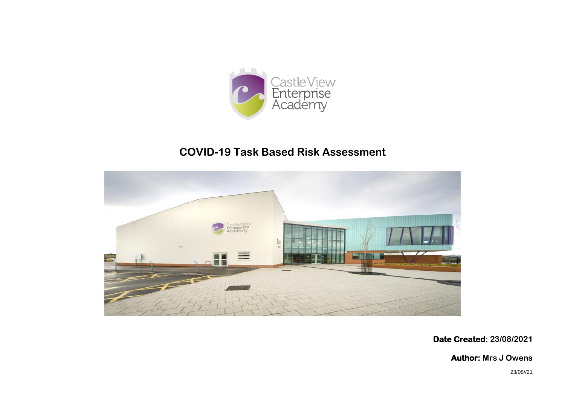

## **COVID-19 Task Based Risk Assessment**



**Date Created: 23/08/2021**

**Author: Mrs J Owens**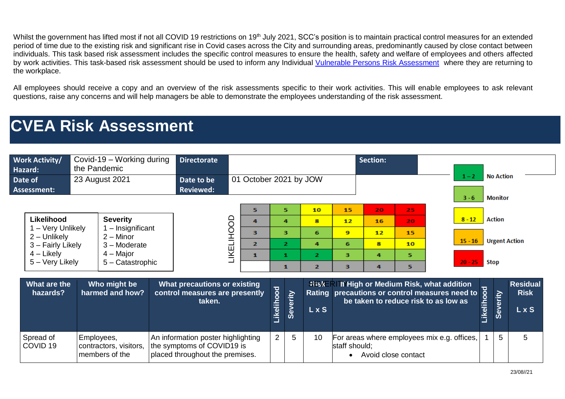Whilst the government has lifted most if not all COVID 19 restrictions on 19<sup>th</sup> July 2021, SCC's position is to maintain practical control measures for an extended period of time due to the existing risk and significant rise in Covid cases across the City and surrounding areas, predominantly caused by close contact between individuals. This task based risk assessment includes the specific control measures to ensure the health, safety and welfare of employees and others affected by work activities. This task-based risk assessment should be used to inform any Individual [Vulnerable Persons Risk Assessment](https://sunderlandcitycouncil.sharepoint.com/:w:/r/sites/TheHubHome/Staff%20Guides/COVID19VulnerablePersonReturntoWorkRiskAssessment.docx?d=w9890c66e989048e7abba490d9eaeb2dc&csf=1&web=1&e=JncllU) where they are returning to the workplace.

All employees should receive a copy and an overview of the risk assessments specific to their work activities. This will enable employees to ask relevant questions, raise any concerns and will help managers be able to demonstrate the employees understanding of the risk assessment.

## **CVEA Risk Assessment**

| <b>Work Activity/</b><br>Hazard:<br>Date of<br>Assessment:                                              | Covid-19 – Working during<br>the Pandemic<br>23 August 2021                                            | <b>Directorate</b><br>Date to be<br><b>Reviewed:</b>                                                | 01 October 2021 by JOW |                                             |                                          |          |                                                       |                              | <b>Section:</b>               |                                                                                                                                 | <b>No Action</b><br>$1 - 2$<br><b>Monitor</b><br>$3 - 6$ |                                               |          |                                         |
|---------------------------------------------------------------------------------------------------------|--------------------------------------------------------------------------------------------------------|-----------------------------------------------------------------------------------------------------|------------------------|---------------------------------------------|------------------------------------------|----------|-------------------------------------------------------|------------------------------|-------------------------------|---------------------------------------------------------------------------------------------------------------------------------|----------------------------------------------------------|-----------------------------------------------|----------|-----------------------------------------|
| Likelihood<br>1 – Very Unlikely<br>2 - Unlikely<br>3 - Fairly Likely<br>$4$ – Likely<br>5 - Very Likely | <b>Severity</b><br>- Insignificant<br>$2 -$ Minor<br>$3 -$ Moderate<br>$4 -$ Major<br>5 - Catastrophic |                                                                                                     | LIKELIHOOD             | 5<br>4<br>з<br>$\mathbf{z}$<br>$\mathbf{1}$ | 5.<br>4<br>з<br>$\overline{2}$<br>1<br>1 |          | 10<br>8<br>6<br>4<br>$\overline{2}$<br>$\overline{2}$ | 15<br>12<br>9<br>6<br>3<br>з | 20<br>16<br>12<br>8<br>4<br>4 | 25<br>20<br>15<br>10<br>5.<br>5.                                                                                                | $8 - 12$<br>$15 - 16$<br>$20 - 25$                       | <b>Action</b><br><b>Urgent Action</b><br>Stop |          |                                         |
| What are the<br>hazards?                                                                                | Who might be<br>harmed and how?                                                                        | <b>What precautions or existing</b><br>control measures are presently<br>taken.                     |                        |                                             | Likelihood                               | Severity | <b>RiskER</b><br><b>LxS</b>                           |                              |                               | If High or Medium Risk, what addition<br>Rating precautions or control measures need to<br>be taken to reduce risk to as low as |                                                          | Likelihood                                    | Severity | <b>Residual</b><br><b>Risk</b><br>L x S |
| Spread of<br>COVID <sub>19</sub>                                                                        | Employees,<br>contractors, visitors,<br>members of the                                                 | An information poster highlighting<br>the symptoms of COVID19 is<br>placed throughout the premises. |                        |                                             | $\overline{2}$                           | 5        | 10                                                    | staff should;                |                               | For areas where employees mix e.g. offices,<br>Avoid close contact                                                              |                                                          |                                               | 5        | 5                                       |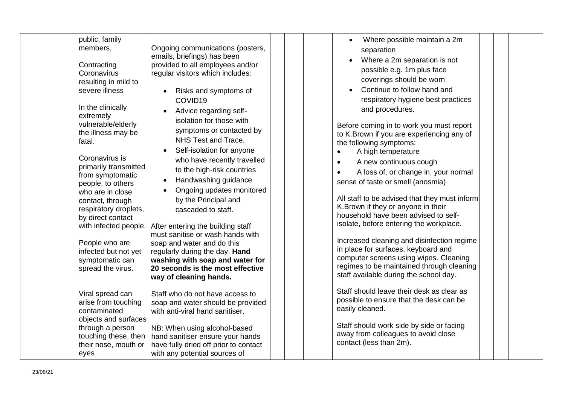| public, family<br>members,<br>Contracting<br>Coronavirus<br>resulting in mild to<br>severe illness<br>In the clinically<br>extremely<br>vulnerable/elderly<br>the illness may be<br>fatal.<br>Coronavirus is<br>primarily transmitted<br>from symptomatic<br>people, to others<br>who are in close<br>contact, through<br>respiratory droplets,<br>by direct contact<br>with infected people.<br>People who are<br>infected but not yet<br>symptomatic can<br>spread the virus. | Ongoing communications (posters,<br>emails, briefings) has been<br>provided to all employees and/or<br>regular visitors which includes:<br>Risks and symptoms of<br>COVID19<br>Advice regarding self-<br>$\bullet$<br>isolation for those with<br>symptoms or contacted by<br>NHS Test and Trace.<br>Self-isolation for anyone<br>who have recently travelled<br>to the high-risk countries<br>Handwashing guidance<br>Ongoing updates monitored<br>by the Principal and<br>cascaded to staff.<br>After entering the building staff<br>must sanitise or wash hands with<br>soap and water and do this<br>regularly during the day. Hand<br>washing with soap and water for<br>20 seconds is the most effective<br>way of cleaning hands. | Where possible maintain a 2m<br>$\bullet$<br>separation<br>Where a 2m separation is not<br>possible e.g. 1m plus face<br>coverings should be worn<br>Continue to follow hand and<br>respiratory hygiene best practices<br>and procedures.<br>Before coming in to work you must report<br>to K.Brown if you are experiencing any of<br>the following symptoms:<br>A high temperature<br>A new continuous cough<br>$\bullet$<br>A loss of, or change in, your normal<br>sense of taste or smell (anosmia)<br>All staff to be advised that they must inform<br>K.Brown if they or anyone in their<br>household have been advised to self-<br>isolate, before entering the workplace.<br>Increased cleaning and disinfection regime<br>in place for surfaces, keyboard and<br>computer screens using wipes. Cleaning<br>regimes to be maintained through cleaning<br>staff available during the school day. |
|---------------------------------------------------------------------------------------------------------------------------------------------------------------------------------------------------------------------------------------------------------------------------------------------------------------------------------------------------------------------------------------------------------------------------------------------------------------------------------|------------------------------------------------------------------------------------------------------------------------------------------------------------------------------------------------------------------------------------------------------------------------------------------------------------------------------------------------------------------------------------------------------------------------------------------------------------------------------------------------------------------------------------------------------------------------------------------------------------------------------------------------------------------------------------------------------------------------------------------|---------------------------------------------------------------------------------------------------------------------------------------------------------------------------------------------------------------------------------------------------------------------------------------------------------------------------------------------------------------------------------------------------------------------------------------------------------------------------------------------------------------------------------------------------------------------------------------------------------------------------------------------------------------------------------------------------------------------------------------------------------------------------------------------------------------------------------------------------------------------------------------------------------|
| Viral spread can<br>arise from touching<br>contaminated<br>objects and surfaces<br>through a person<br>touching these, then<br>their nose, mouth or<br>eyes                                                                                                                                                                                                                                                                                                                     | Staff who do not have access to<br>soap and water should be provided<br>with anti-viral hand sanitiser.<br>NB: When using alcohol-based<br>hand sanitiser ensure your hands<br>have fully dried off prior to contact<br>with any potential sources of                                                                                                                                                                                                                                                                                                                                                                                                                                                                                    | Staff should leave their desk as clear as<br>possible to ensure that the desk can be<br>easily cleaned.<br>Staff should work side by side or facing<br>away from colleagues to avoid close<br>contact (less than 2m).                                                                                                                                                                                                                                                                                                                                                                                                                                                                                                                                                                                                                                                                                   |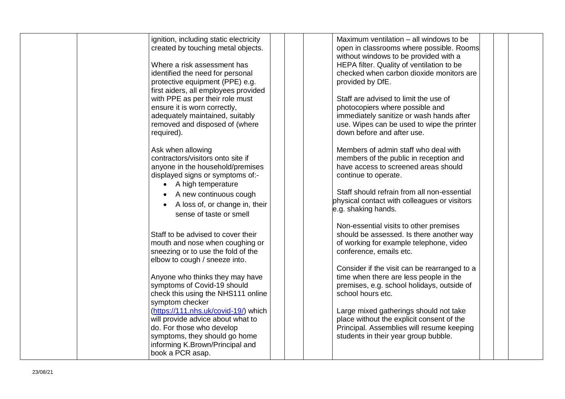| ignition, including static electricity<br>created by touching metal objects.<br>Where a risk assessment has<br>identified the need for personal<br>protective equipment (PPE) e.g.                                                            | Maximum ventilation – all windows to be<br>open in classrooms where possible. Rooms<br>without windows to be provided with a<br>HEPA filter. Quality of ventilation to be<br>checked when carbon dioxide monitors are<br>provided by DfE.                            |
|-----------------------------------------------------------------------------------------------------------------------------------------------------------------------------------------------------------------------------------------------|----------------------------------------------------------------------------------------------------------------------------------------------------------------------------------------------------------------------------------------------------------------------|
| first aiders, all employees provided<br>with PPE as per their role must<br>ensure it is worn correctly,<br>adequately maintained, suitably<br>removed and disposed of (where<br>required).                                                    | Staff are advised to limit the use of<br>photocopiers where possible and<br>immediately sanitize or wash hands after<br>use. Wipes can be used to wipe the printer<br>down before and after use.                                                                     |
| Ask when allowing<br>contractors/visitors onto site if<br>anyone in the household/premises<br>displayed signs or symptoms of:-<br>• A high temperature<br>A new continuous cough<br>A loss of, or change in, their<br>sense of taste or smell | Members of admin staff who deal with<br>members of the public in reception and<br>have access to screened areas should<br>continue to operate.<br>Staff should refrain from all non-essential<br>physical contact with colleagues or visitors<br>e.g. shaking hands. |
| Staff to be advised to cover their<br>mouth and nose when coughing or<br>sneezing or to use the fold of the<br>elbow to cough / sneeze into.                                                                                                  | Non-essential visits to other premises<br>should be assessed. Is there another way<br>of working for example telephone, video<br>conference, emails etc.                                                                                                             |
| Anyone who thinks they may have<br>symptoms of Covid-19 should<br>check this using the NHS111 online<br>symptom checker                                                                                                                       | Consider if the visit can be rearranged to a<br>time when there are less people in the<br>premises, e.g. school holidays, outside of<br>school hours etc.                                                                                                            |
| (https://111.nhs.uk/covid-19/) which<br>will provide advice about what to<br>do. For those who develop<br>symptoms, they should go home<br>informing K.Brown/Principal and<br>book a PCR asap.                                                | Large mixed gatherings should not take<br>place without the explicit consent of the<br>Principal. Assemblies will resume keeping<br>students in their year group bubble.                                                                                             |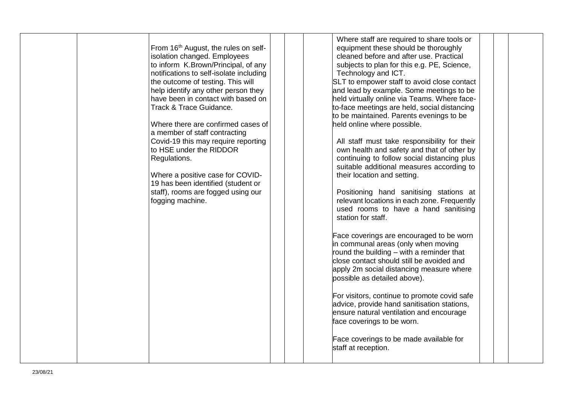| From 16 <sup>th</sup> August, the rules on self-<br>isolation changed. Employees<br>to inform K.Brown/Principal, of any<br>notifications to self-isolate including<br>the outcome of testing. This will<br>help identify any other person they<br>have been in contact with based on<br>Track & Trace Guidance.<br>Where there are confirmed cases of<br>a member of staff contracting<br>Covid-19 this may require reporting<br>to HSE under the RIDDOR<br>Regulations.<br>Where a positive case for COVID-<br>19 has been identified (student or<br>staff), rooms are fogged using our<br>fogging machine. | equipment these should be thoroughly<br>cleaned before and after use. Practical<br>subjects to plan for this e.g. PE, Science,<br>Technology and ICT.<br>SLT to empower staff to avoid close contact<br>and lead by example. Some meetings to be<br>held virtually online via Teams. Where face-<br>to-face meetings are held, social distancing<br>to be maintained. Parents evenings to be<br>held online where possible.<br>All staff must take responsibility for their<br>own health and safety and that of other by<br>continuing to follow social distancing plus<br>suitable additional measures according to<br>their location and setting.<br>Positioning hand sanitising stations at<br>relevant locations in each zone. Frequently<br>used rooms to have a hand sanitising<br>station for staff.<br>Face coverings are encouraged to be worn<br>in communal areas (only when moving<br>round the building - with a reminder that<br>close contact should still be avoided and<br>apply 2m social distancing measure where<br>possible as detailed above).<br>For visitors, continue to promote covid safe<br>advice, provide hand sanitisation stations,<br>ensure natural ventilation and encourage<br>face coverings to be worn.<br>Face coverings to be made available for<br>staff at reception. |
|--------------------------------------------------------------------------------------------------------------------------------------------------------------------------------------------------------------------------------------------------------------------------------------------------------------------------------------------------------------------------------------------------------------------------------------------------------------------------------------------------------------------------------------------------------------------------------------------------------------|------------------------------------------------------------------------------------------------------------------------------------------------------------------------------------------------------------------------------------------------------------------------------------------------------------------------------------------------------------------------------------------------------------------------------------------------------------------------------------------------------------------------------------------------------------------------------------------------------------------------------------------------------------------------------------------------------------------------------------------------------------------------------------------------------------------------------------------------------------------------------------------------------------------------------------------------------------------------------------------------------------------------------------------------------------------------------------------------------------------------------------------------------------------------------------------------------------------------------------------------------------------------------------------------------------------|
|--------------------------------------------------------------------------------------------------------------------------------------------------------------------------------------------------------------------------------------------------------------------------------------------------------------------------------------------------------------------------------------------------------------------------------------------------------------------------------------------------------------------------------------------------------------------------------------------------------------|------------------------------------------------------------------------------------------------------------------------------------------------------------------------------------------------------------------------------------------------------------------------------------------------------------------------------------------------------------------------------------------------------------------------------------------------------------------------------------------------------------------------------------------------------------------------------------------------------------------------------------------------------------------------------------------------------------------------------------------------------------------------------------------------------------------------------------------------------------------------------------------------------------------------------------------------------------------------------------------------------------------------------------------------------------------------------------------------------------------------------------------------------------------------------------------------------------------------------------------------------------------------------------------------------------------|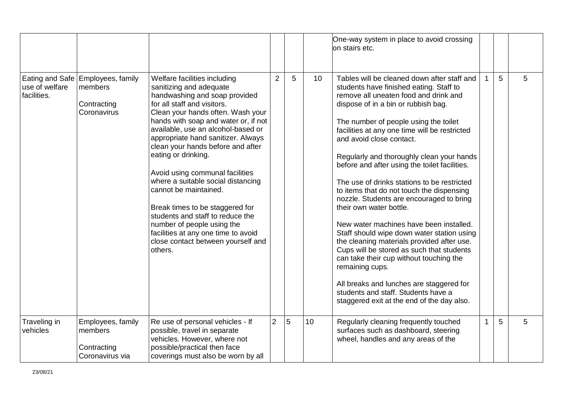|                                                  |                                                                |                                                                                                                                                                                                                                                                                                                                                                                                                                                                                                                                                                                                                                             |                |   |    | One-way system in place to avoid crossing<br>on stairs etc.                                                                                                                                                                                                                                                                                                                                                                                                                                                                                                                                                                                                                                                                                                                                                                                                                                                                                      |                |   |   |
|--------------------------------------------------|----------------------------------------------------------------|---------------------------------------------------------------------------------------------------------------------------------------------------------------------------------------------------------------------------------------------------------------------------------------------------------------------------------------------------------------------------------------------------------------------------------------------------------------------------------------------------------------------------------------------------------------------------------------------------------------------------------------------|----------------|---|----|--------------------------------------------------------------------------------------------------------------------------------------------------------------------------------------------------------------------------------------------------------------------------------------------------------------------------------------------------------------------------------------------------------------------------------------------------------------------------------------------------------------------------------------------------------------------------------------------------------------------------------------------------------------------------------------------------------------------------------------------------------------------------------------------------------------------------------------------------------------------------------------------------------------------------------------------------|----------------|---|---|
| Eating and Safe<br>use of welfare<br>facilities. | Employees, family<br>members<br>Contracting<br>Coronavirus     | Welfare facilities including<br>sanitizing and adequate<br>handwashing and soap provided<br>for all staff and visitors.<br>Clean your hands often. Wash your<br>hands with soap and water or, if not<br>available, use an alcohol-based or<br>appropriate hand sanitizer. Always<br>clean your hands before and after<br>eating or drinking.<br>Avoid using communal facilities<br>where a suitable social distancing<br>cannot be maintained.<br>Break times to be staggered for<br>students and staff to reduce the<br>number of people using the<br>facilities at any one time to avoid<br>close contact between yourself and<br>others. | $\overline{2}$ | 5 | 10 | Tables will be cleaned down after staff and<br>students have finished eating. Staff to<br>remove all uneaten food and drink and<br>dispose of in a bin or rubbish bag.<br>The number of people using the toilet<br>facilities at any one time will be restricted<br>and avoid close contact.<br>Regularly and thoroughly clean your hands<br>before and after using the toilet facilities.<br>The use of drinks stations to be restricted<br>to items that do not touch the dispensing<br>nozzle. Students are encouraged to bring<br>their own water bottle.<br>New water machines have been installed.<br>Staff should wipe down water station using<br>the cleaning materials provided after use.<br>Cups will be stored as such that students<br>can take their cup without touching the<br>remaining cups.<br>All breaks and lunches are staggered for<br>students and staff. Students have a<br>staggered exit at the end of the day also. | 1              | 5 | 5 |
| Traveling in<br>vehicles                         | Employees, family<br>members<br>Contracting<br>Coronavirus via | Re use of personal vehicles - If<br>possible, travel in separate<br>vehicles. However, where not<br>possible/practical then face<br>coverings must also be worn by all                                                                                                                                                                                                                                                                                                                                                                                                                                                                      | $\overline{2}$ | 5 | 10 | Regularly cleaning frequently touched<br>surfaces such as dashboard, steering<br>wheel, handles and any areas of the                                                                                                                                                                                                                                                                                                                                                                                                                                                                                                                                                                                                                                                                                                                                                                                                                             | $\overline{1}$ | 5 | 5 |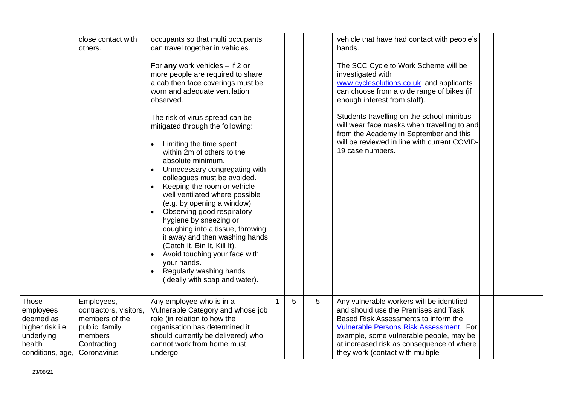|                                                                                                 | close contact with<br>others.                                                                                     | occupants so that multi occupants<br>can travel together in vehicles.<br>For any work vehicles $-$ if 2 or<br>more people are required to share<br>a cab then face coverings must be<br>worn and adequate ventilation<br>observed.<br>The risk of virus spread can be<br>mitigated through the following:<br>Limiting the time spent<br>within 2m of others to the<br>absolute minimum.<br>Unnecessary congregating with<br>colleagues must be avoided.<br>Keeping the room or vehicle<br>well ventilated where possible<br>(e.g. by opening a window).<br>Observing good respiratory<br>hygiene by sneezing or<br>coughing into a tissue, throwing<br>it away and then washing hands<br>(Catch It, Bin It, Kill It).<br>Avoid touching your face with<br>your hands.<br>Regularly washing hands<br>(ideally with soap and water). |    |   |   | vehicle that have had contact with people's<br>hands.<br>The SCC Cycle to Work Scheme will be<br>investigated with<br>www.cyclesolutions.co.uk and applicants<br>can choose from a wide range of bikes (if<br>enough interest from staff).<br>Students travelling on the school minibus<br>will wear face masks when travelling to and<br>from the Academy in September and this<br>will be reviewed in line with current COVID-<br>19 case numbers. |  |  |
|-------------------------------------------------------------------------------------------------|-------------------------------------------------------------------------------------------------------------------|------------------------------------------------------------------------------------------------------------------------------------------------------------------------------------------------------------------------------------------------------------------------------------------------------------------------------------------------------------------------------------------------------------------------------------------------------------------------------------------------------------------------------------------------------------------------------------------------------------------------------------------------------------------------------------------------------------------------------------------------------------------------------------------------------------------------------------|----|---|---|------------------------------------------------------------------------------------------------------------------------------------------------------------------------------------------------------------------------------------------------------------------------------------------------------------------------------------------------------------------------------------------------------------------------------------------------------|--|--|
| Those<br>employees<br>deemed as<br>higher risk i.e.<br>underlying<br>health<br>conditions, age, | Employees,<br>contractors, visitors,<br>members of the<br>public, family<br>members<br>Contracting<br>Coronavirus | Any employee who is in a<br>Vulnerable Category and whose job<br>role (in relation to how the<br>organisation has determined it<br>should currently be delivered) who<br>cannot work from home must<br>undergo                                                                                                                                                                                                                                                                                                                                                                                                                                                                                                                                                                                                                     | 1. | 5 | 5 | Any vulnerable workers will be identified<br>and should use the Premises and Task<br>Based Risk Assessments to inform the<br><b>Vulnerable Persons Risk Assessment. For</b><br>example, some vulnerable people, may be<br>at increased risk as consequence of where<br>they work (contact with multiple                                                                                                                                              |  |  |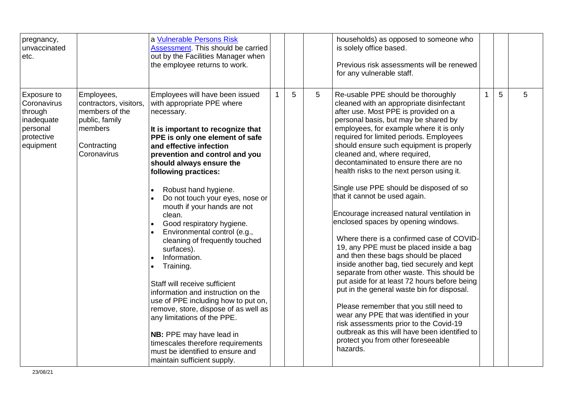| pregnancy,<br>unvaccinated<br>etc.                                                         |                                                                                                                   | a Vulnerable Persons Risk<br>Assessment. This should be carried<br>out by the Facilities Manager when<br>the employee returns to work.                                                                                                                                                                                                                                                                                                                                                                                                                                                                                                                                                                                                                                                                                                      |   |   | households) as opposed to someone who<br>is solely office based.<br>Previous risk assessments will be renewed<br>for any vulnerable staff.                                                                                                                                                                                                                                                                                                                                                                                                                                                                                                                                                                                                                                                                                                                                                                                                                                                                                                                                                                                                          |              |   |   |
|--------------------------------------------------------------------------------------------|-------------------------------------------------------------------------------------------------------------------|---------------------------------------------------------------------------------------------------------------------------------------------------------------------------------------------------------------------------------------------------------------------------------------------------------------------------------------------------------------------------------------------------------------------------------------------------------------------------------------------------------------------------------------------------------------------------------------------------------------------------------------------------------------------------------------------------------------------------------------------------------------------------------------------------------------------------------------------|---|---|-----------------------------------------------------------------------------------------------------------------------------------------------------------------------------------------------------------------------------------------------------------------------------------------------------------------------------------------------------------------------------------------------------------------------------------------------------------------------------------------------------------------------------------------------------------------------------------------------------------------------------------------------------------------------------------------------------------------------------------------------------------------------------------------------------------------------------------------------------------------------------------------------------------------------------------------------------------------------------------------------------------------------------------------------------------------------------------------------------------------------------------------------------|--------------|---|---|
| Exposure to<br>Coronavirus<br>through<br>inadequate<br>personal<br>protective<br>equipment | Employees,<br>contractors, visitors,<br>members of the<br>public, family<br>members<br>Contracting<br>Coronavirus | Employees will have been issued<br>with appropriate PPE where<br>necessary.<br>It is important to recognize that<br>PPE is only one element of safe<br>and effective infection<br>prevention and control and you<br>should always ensure the<br>following practices:<br>Robust hand hygiene.<br>Do not touch your eyes, nose or<br>mouth if your hands are not<br>clean.<br>Good respiratory hygiene.<br>Environmental control (e.g.,<br>cleaning of frequently touched<br>surfaces).<br>Information.<br>Training.<br>Staff will receive sufficient<br>information and instruction on the<br>use of PPE including how to put on,<br>remove, store, dispose of as well as<br>any limitations of the PPE.<br>NB: PPE may have lead in<br>timescales therefore requirements<br>must be identified to ensure and<br>maintain sufficient supply. | 5 | 5 | Re-usable PPE should be thoroughly<br>cleaned with an appropriate disinfectant<br>after use. Most PPE is provided on a<br>personal basis, but may be shared by<br>employees, for example where it is only<br>required for limited periods. Employees<br>should ensure such equipment is properly<br>cleaned and, where required,<br>decontaminated to ensure there are no<br>health risks to the next person using it.<br>Single use PPE should be disposed of so<br>that it cannot be used again.<br>Encourage increased natural ventilation in<br>enclosed spaces by opening windows.<br>Where there is a confirmed case of COVID-<br>19, any PPE must be placed inside a bag<br>and then these bags should be placed<br>inside another bag, tied securely and kept<br>separate from other waste. This should be<br>put aside for at least 72 hours before being<br>put in the general waste bin for disposal.<br>Please remember that you still need to<br>wear any PPE that was identified in your<br>risk assessments prior to the Covid-19<br>outbreak as this will have been identified to<br>protect you from other foreseeable<br>hazards. | $\mathbf{1}$ | 5 | 5 |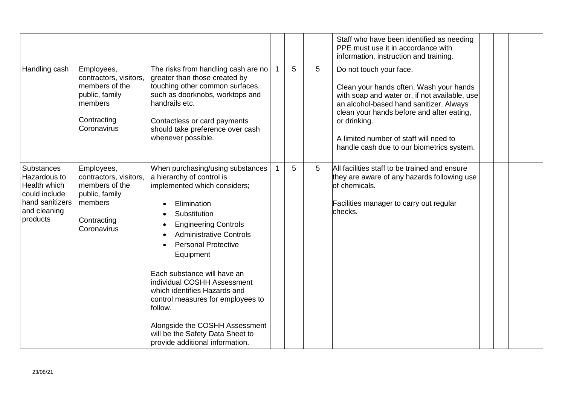|                                                                                                            |                                                                                                                   |                                                                                                                                                                                                                                                                                                                                                                                                                                                                                                 |   |   | Staff who have been identified as needing<br>PPE must use it in accordance with<br>information, instruction and training.                                                                                                                                                                                          |  |  |
|------------------------------------------------------------------------------------------------------------|-------------------------------------------------------------------------------------------------------------------|-------------------------------------------------------------------------------------------------------------------------------------------------------------------------------------------------------------------------------------------------------------------------------------------------------------------------------------------------------------------------------------------------------------------------------------------------------------------------------------------------|---|---|--------------------------------------------------------------------------------------------------------------------------------------------------------------------------------------------------------------------------------------------------------------------------------------------------------------------|--|--|
| Handling cash                                                                                              | Employees,<br>contractors, visitors,<br>members of the<br>public, family<br>members<br>Contracting<br>Coronavirus | The risks from handling cash are no<br>greater than those created by<br>touching other common surfaces,<br>such as doorknobs, worktops and<br>handrails etc.<br>Contactless or card payments<br>should take preference over cash<br>whenever possible.                                                                                                                                                                                                                                          | 5 | 5 | Do not touch your face.<br>Clean your hands often. Wash your hands<br>with soap and water or, if not available, use<br>an alcohol-based hand sanitizer. Always<br>clean your hands before and after eating,<br>or drinking.<br>A limited number of staff will need to<br>handle cash due to our biometrics system. |  |  |
| Substances<br>Hazardous to<br>Health which<br>could include<br>hand sanitizers<br>and cleaning<br>products | Employees,<br>contractors, visitors,<br>members of the<br>public, family<br>members<br>Contracting<br>Coronavirus | When purchasing/using substances<br>a hierarchy of control is<br>implemented which considers;<br>Elimination<br>Substitution<br><b>Engineering Controls</b><br><b>Administrative Controls</b><br><b>Personal Protective</b><br>Equipment<br>Each substance will have an<br>individual COSHH Assessment<br>which identifies Hazards and<br>control measures for employees to<br>follow.<br>Alongside the COSHH Assessment<br>will be the Safety Data Sheet to<br>provide additional information. | 5 | 5 | All facilities staff to be trained and ensure<br>they are aware of any hazards following use<br>lof chemicals.<br>Facilities manager to carry out regular<br>checks.                                                                                                                                               |  |  |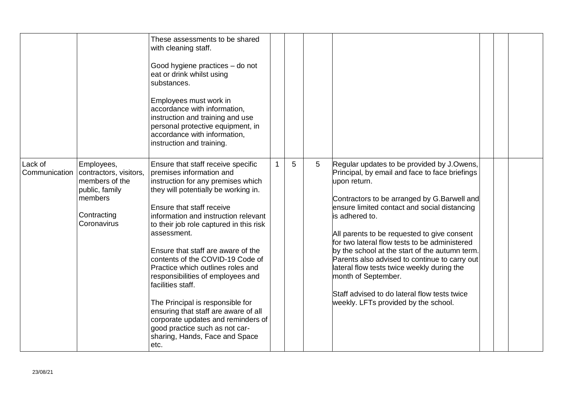|                          |                                                                                                                   | These assessments to be shared<br>with cleaning staff.<br>Good hygiene practices - do not<br>eat or drink whilst using<br>substances.<br>Employees must work in<br>accordance with information,<br>instruction and training and use<br>personal protective equipment, in<br>accordance with information,<br>instruction and training.                                                                                                                                                                                                                                                                                                              |             |   |   |                                                                                                                                                                                                                                                                                                                                                                                                                                                                                                                                                                                               |  |  |
|--------------------------|-------------------------------------------------------------------------------------------------------------------|----------------------------------------------------------------------------------------------------------------------------------------------------------------------------------------------------------------------------------------------------------------------------------------------------------------------------------------------------------------------------------------------------------------------------------------------------------------------------------------------------------------------------------------------------------------------------------------------------------------------------------------------------|-------------|---|---|-----------------------------------------------------------------------------------------------------------------------------------------------------------------------------------------------------------------------------------------------------------------------------------------------------------------------------------------------------------------------------------------------------------------------------------------------------------------------------------------------------------------------------------------------------------------------------------------------|--|--|
| Lack of<br>Communication | Employees,<br>contractors, visitors,<br>members of the<br>public, family<br>members<br>Contracting<br>Coronavirus | Ensure that staff receive specific<br>premises information and<br>instruction for any premises which<br>they will potentially be working in.<br>Ensure that staff receive<br>information and instruction relevant<br>to their job role captured in this risk<br>assessment.<br>Ensure that staff are aware of the<br>contents of the COVID-19 Code of<br>Practice which outlines roles and<br>responsibilities of employees and<br>facilities staff.<br>The Principal is responsible for<br>ensuring that staff are aware of all<br>corporate updates and reminders of<br>good practice such as not car-<br>sharing, Hands, Face and Space<br>etc. | $\mathbf 1$ | 5 | 5 | Regular updates to be provided by J.Owens,<br>Principal, by email and face to face briefings<br>upon return.<br>Contractors to be arranged by G.Barwell and<br>ensure limited contact and social distancing<br>is adhered to.<br>All parents to be requested to give consent<br>for two lateral flow tests to be administered<br>by the school at the start of the autumn term.<br>Parents also advised to continue to carry out<br>lateral flow tests twice weekly during the<br>month of September.<br>Staff advised to do lateral flow tests twice<br>weekly. LFTs provided by the school. |  |  |